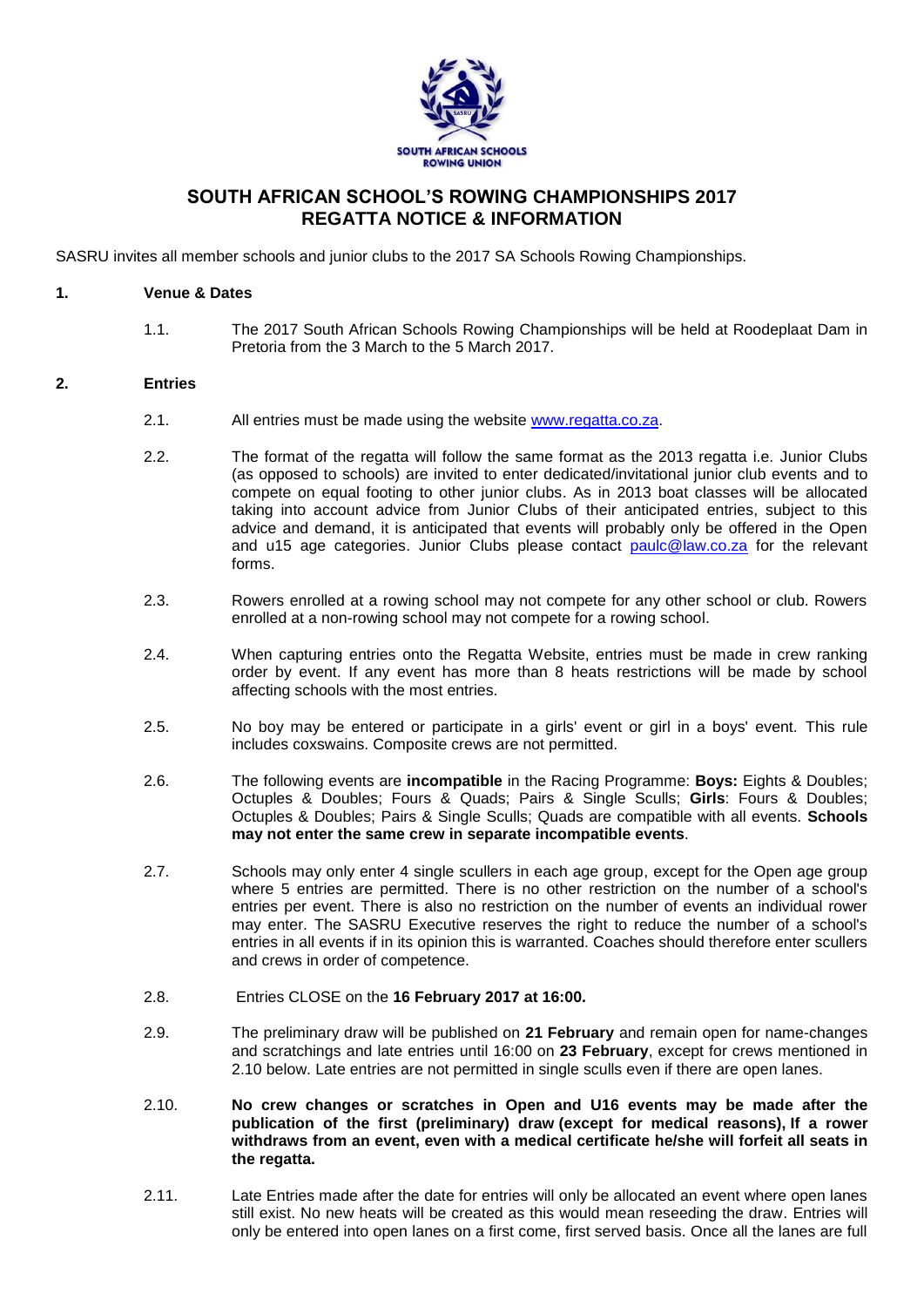

# **SOUTH AFRICAN SCHOOL'S ROWING CHAMPIONSHIPS 2017 REGATTA NOTICE & INFORMATION**

SASRU invites all member schools and junior clubs to the 2017 SA Schools Rowing Championships.

#### **1. Venue & Dates**

1.1. The 2017 South African Schools Rowing Championships will be held at Roodeplaat Dam in Pretoria from the 3 March to the 5 March 2017.

#### **2. Entries**

- 2.1. All entries must be made using the website [www.regatta.co.za.](http://www.regatta.co.za/)
- 2.2. The format of the regatta will follow the same format as the 2013 regatta i.e. Junior Clubs (as opposed to schools) are invited to enter dedicated/invitational junior club events and to compete on equal footing to other junior clubs. As in 2013 boat classes will be allocated taking into account advice from Junior Clubs of their anticipated entries, subject to this advice and demand, it is anticipated that events will probably only be offered in the Open and u15 age categories. Junior Clubs please contact [paulc@law.co.za](mailto:paulc@law.co.za) for the relevant forms.
- 2.3. Rowers enrolled at a rowing school may not compete for any other school or club. Rowers enrolled at a non-rowing school may not compete for a rowing school.
- 2.4. When capturing entries onto the Regatta Website, entries must be made in crew ranking order by event. If any event has more than 8 heats restrictions will be made by school affecting schools with the most entries.
- 2.5. No boy may be entered or participate in a girls' event or girl in a boys' event. This rule includes coxswains. Composite crews are not permitted.
- 2.6. The following events are **incompatible** in the Racing Programme: **Boys:** Eights & Doubles; Octuples & Doubles; Fours & Quads; Pairs & Single Sculls; **Girls**: Fours & Doubles; Octuples & Doubles; Pairs & Single Sculls; Quads are compatible with all events. **Schools may not enter the same crew in separate incompatible events**.
- 2.7. Schools may only enter 4 single scullers in each age group, except for the Open age group where 5 entries are permitted. There is no other restriction on the number of a school's entries per event. There is also no restriction on the number of events an individual rower may enter. The SASRU Executive reserves the right to reduce the number of a school's entries in all events if in its opinion this is warranted. Coaches should therefore enter scullers and crews in order of competence.
- 2.8. Entries CLOSE on the **16 February 2017 at 16:00.**
- 2.9. The preliminary draw will be published on **21 February** and remain open for name-changes and scratchings and late entries until 16:00 on **23 February**, except for crews mentioned in 2.10 below. Late entries are not permitted in single sculls even if there are open lanes.
- 2.10. **No crew changes or scratches in Open and U16 events may be made after the publication of the first (preliminary) draw (except for medical reasons), If a rower withdraws from an event, even with a medical certificate he/she will forfeit all seats in the regatta.**
- 2.11. Late Entries made after the date for entries will only be allocated an event where open lanes still exist. No new heats will be created as this would mean reseeding the draw. Entries will only be entered into open lanes on a first come, first served basis. Once all the lanes are full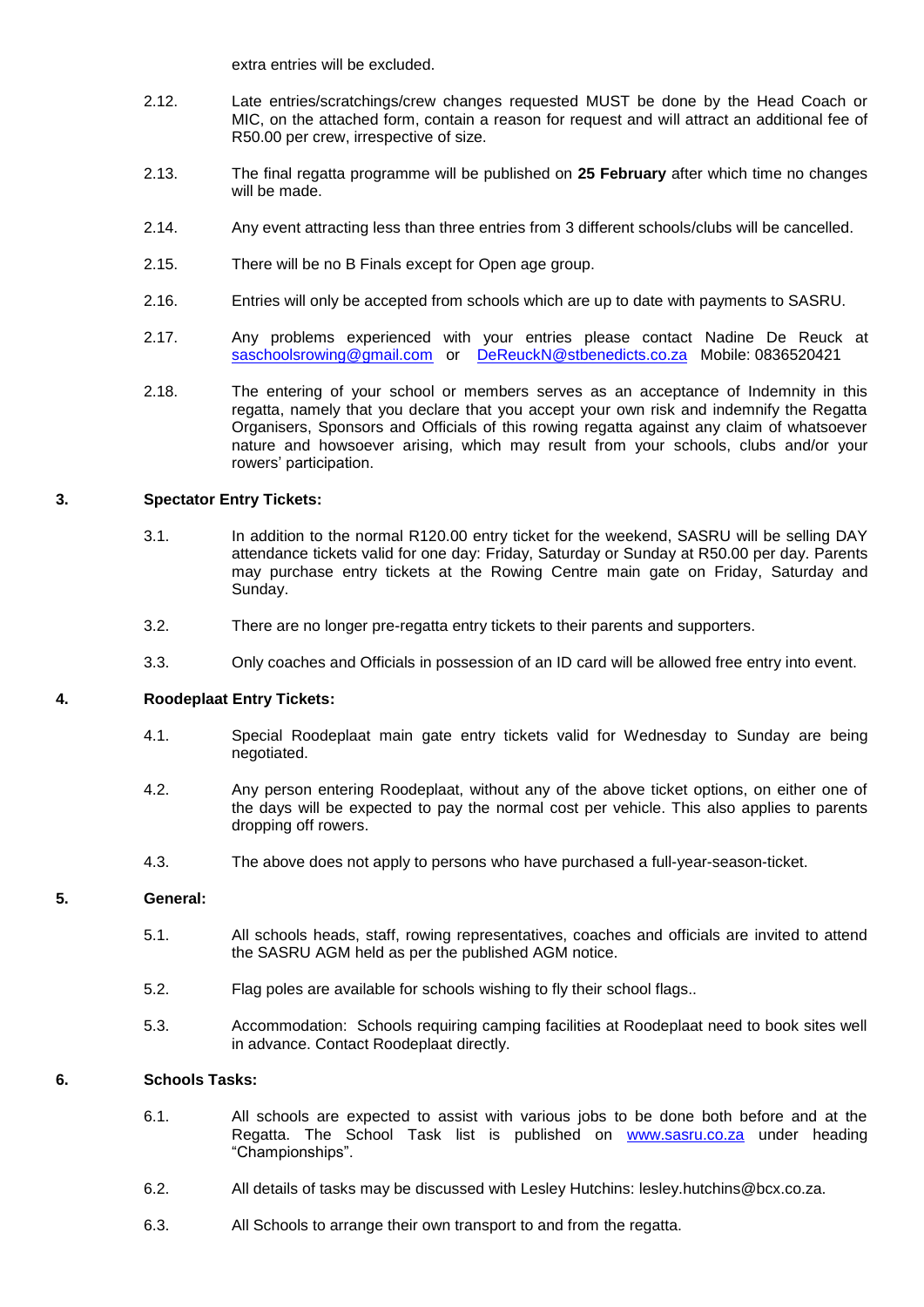extra entries will be excluded.

- 2.12. Late entries/scratchings/crew changes requested MUST be done by the Head Coach or MIC, on the attached form, contain a reason for request and will attract an additional fee of R50.00 per crew, irrespective of size.
- 2.13. The final regatta programme will be published on **25 February** after which time no changes will be made.
- 2.14. Any event attracting less than three entries from 3 different schools/clubs will be cancelled.
- 2.15. There will be no B Finals except for Open age group.
- 2.16. Entries will only be accepted from schools which are up to date with payments to SASRU.
- 2.17. Any problems experienced with your entries please contact Nadine De Reuck at [saschoolsrowing@gmail.com](mailto:saschoolsrowing@gmail.com) or [DeReuckN@stbenedicts.co.za](mailto:DeReuckN@stbenedicts.co.za) Mobile: 0836520421
- 2.18. The entering of your school or members serves as an acceptance of Indemnity in this regatta, namely that you declare that you accept your own risk and indemnify the Regatta Organisers, Sponsors and Officials of this rowing regatta against any claim of whatsoever nature and howsoever arising, which may result from your schools, clubs and/or your rowers' participation.

## **3. Spectator Entry Tickets:**

- 3.1. In addition to the normal R120.00 entry ticket for the weekend, SASRU will be selling DAY attendance tickets valid for one day: Friday, Saturday or Sunday at R50.00 per day. Parents may purchase entry tickets at the Rowing Centre main gate on Friday, Saturday and Sunday.
- 3.2. There are no longer pre-regatta entry tickets to their parents and supporters.
- 3.3. Only coaches and Officials in possession of an ID card will be allowed free entry into event.

#### **4. Roodeplaat Entry Tickets:**

- 4.1. Special Roodeplaat main gate entry tickets valid for Wednesday to Sunday are being negotiated.
- 4.2. Any person entering Roodeplaat, without any of the above ticket options, on either one of the days will be expected to pay the normal cost per vehicle. This also applies to parents dropping off rowers.
- 4.3. The above does not apply to persons who have purchased a full-year-season-ticket.

## **5. General:**

- 5.1. All schools heads, staff, rowing representatives, coaches and officials are invited to attend the SASRU AGM held as per the published AGM notice.
- 5.2. Flag poles are available for schools wishing to fly their school flags..
- 5.3. Accommodation: Schools requiring camping facilities at Roodeplaat need to book sites well in advance. Contact Roodeplaat directly.

## **6. Schools Tasks:**

- 6.1. All schools are expected to assist with various jobs to be done both before and at the Regatta. The School Task list is published on [www.sasru.co.za](http://www.sasru.co.za/) under heading "Championships".
- 6.2. All details of tasks may be discussed with Lesley Hutchins: lesley.hutchins@bcx.co.za.
- 6.3. All Schools to arrange their own transport to and from the regatta.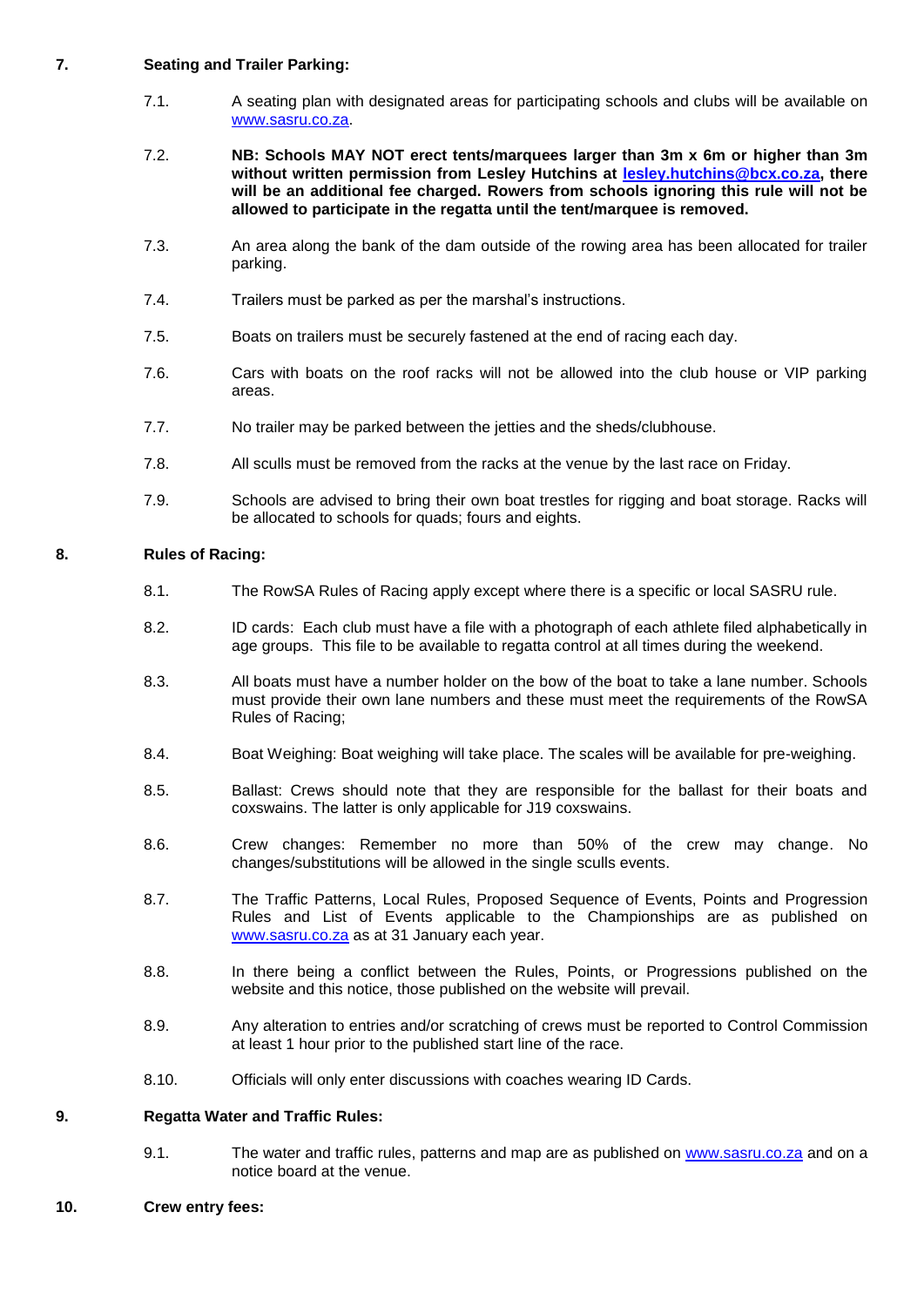## **7. Seating and Trailer Parking:**

- 7.1. A seating plan with designated areas for participating schools and clubs will be available on [www.sasru.co.za.](http://www.sasru.co.za/)
- 7.2. **NB: Schools MAY NOT erect tents/marquees larger than 3m x 6m or higher than 3m without written permission from Lesley Hutchins at [lesley.hutchins@bcx.co.za,](mailto:lesley.hutchins@bcx.co.za) there will be an additional fee charged. Rowers from schools ignoring this rule will not be allowed to participate in the regatta until the tent/marquee is removed.**
- 7.3. An area along the bank of the dam outside of the rowing area has been allocated for trailer parking.
- 7.4. Trailers must be parked as per the marshal's instructions.
- 7.5. Boats on trailers must be securely fastened at the end of racing each day.
- 7.6. Cars with boats on the roof racks will not be allowed into the club house or VIP parking areas.
- 7.7. No trailer may be parked between the jetties and the sheds/clubhouse.
- 7.8. All sculls must be removed from the racks at the venue by the last race on Friday.
- 7.9. Schools are advised to bring their own boat trestles for rigging and boat storage. Racks will be allocated to schools for quads; fours and eights.

## **8. Rules of Racing:**

- 8.1. The RowSA Rules of Racing apply except where there is a specific or local SASRU rule.
- 8.2. ID cards: Each club must have a file with a photograph of each athlete filed alphabetically in age groups. This file to be available to regatta control at all times during the weekend.
- 8.3. All boats must have a number holder on the bow of the boat to take a lane number. Schools must provide their own lane numbers and these must meet the requirements of the RowSA Rules of Racing;
- 8.4. Boat Weighing: Boat weighing will take place. The scales will be available for pre-weighing.
- 8.5. Ballast: Crews should note that they are responsible for the ballast for their boats and coxswains. The latter is only applicable for J19 coxswains.
- 8.6. Crew changes: Remember no more than 50% of the crew may change. No changes/substitutions will be allowed in the single sculls events.
- 8.7. The Traffic Patterns, Local Rules, Proposed Sequence of Events, Points and Progression Rules and List of Events applicable to the Championships are as published on [www.sasru.co.za](http://www.sasru.co.za/) as at 31 January each year.
- 8.8. In there being a conflict between the Rules, Points, or Progressions published on the website and this notice, those published on the website will prevail.
- 8.9. Any alteration to entries and/or scratching of crews must be reported to Control Commission at least 1 hour prior to the published start line of the race.
- 8.10. Officials will only enter discussions with coaches wearing ID Cards.

#### **9. Regatta Water and Traffic Rules:**

9.1. The water and traffic rules, patterns and map are as published on [www.sasru.co.za](http://www.sasru.co.za/) and on a notice board at the venue.

#### **10. Crew entry fees:**